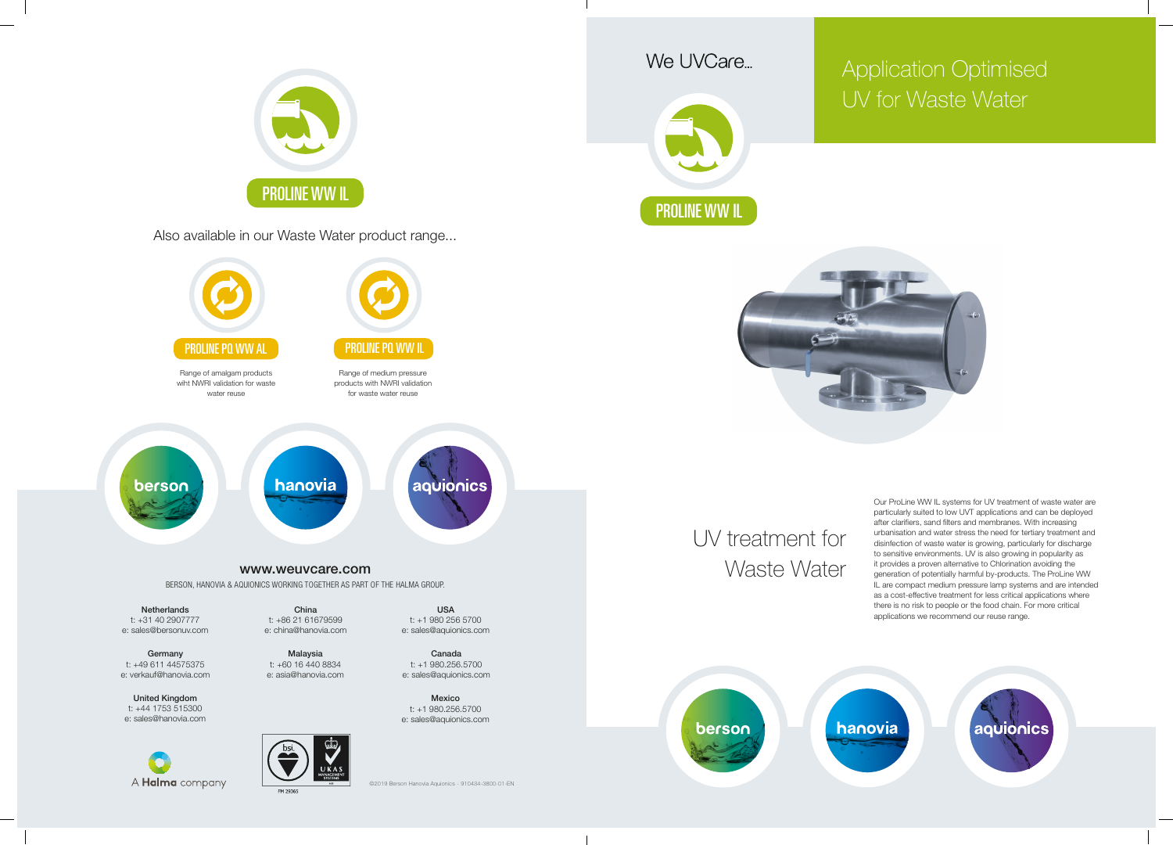



Our ProLine WW IL systems for UV treatment of waste water are particularly suited to low UVT applications and can be deployed after clarifiers, sand filters and membranes. With increasing urbanisation and water stress the need for tertiary treatment and disinfection of waste water is growing, particularly for discharge to sensitive environments. UV is also growing in popularity as it provides a proven alternative to Chlorination avoiding the generation of potentially harmful by-products. The ProLine WW IL are compact medium pressure lamp systems and are intended as a cost-effective treatment for less critical applications where there is no risk to people or the food chain. For more critical applications we recommend our reuse range.

aquionics

## Application Optimised UV for Waste Water





United Kingdom t: +44 1753 515300 e: sales@hanovia.com

A **Halma** company

M 2936!

Mexico t: +1 980.256.5700 e: sales@aquionics.com





Also available in our Waste Water product range...



©2019 Berson Hanovia Aquionics - 910434-3800-01-EN